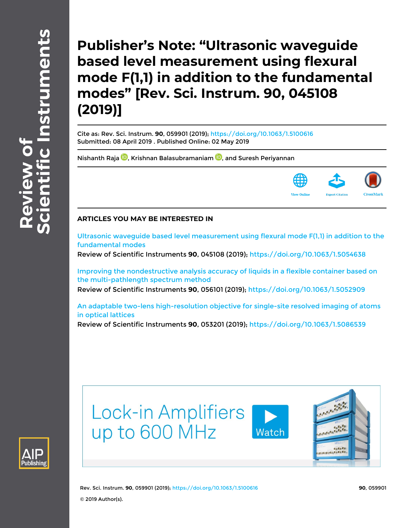**Publisher's Note: "Ultrasonic waveguide based level measurement using flexural mode F(1,1) in addition to the fundamental modes" [Rev. Sci. Instrum. 90, 045108 (2019)]**

Cite as: Rev. Sci. Instrum. **90**, 059901 (2019); <https://doi.org/10.1063/1.5100616> Submitted: 08 April 2019 . Published Online: 02 May 2019

[Nishanth Raja](https://aip.scitation.org/author/Raja%2C+Nishanth) **D**[,](http://orcid.org/0000-0003-2221-0933) [Krishnan Balasubramaniam](https://aip.scitation.org/author/Balasubramaniam%2C+Krishnan) **D**, and [Suresh Periyannan](https://aip.scitation.org/author/Periyannan%2C+Suresh)



## **ARTICLES YOU MAY BE INTERESTED IN**

[Ultrasonic waveguide based level measurement using flexural mode F\(1,1\) in addition to the](https://aip.scitation.org/doi/10.1063/1.5054638) [fundamental modes](https://aip.scitation.org/doi/10.1063/1.5054638)

Review of Scientific Instruments **90**, 045108 (2019); <https://doi.org/10.1063/1.5054638>

[Improving the nondestructive analysis accuracy of liquids in a flexible container based on](https://aip.scitation.org/doi/10.1063/1.5052909) [the multi-pathlength spectrum method](https://aip.scitation.org/doi/10.1063/1.5052909)

Review of Scientific Instruments **90**, 056101 (2019);<https://doi.org/10.1063/1.5052909>

[An adaptable two-lens high-resolution objective for single-site resolved imaging of atoms](https://aip.scitation.org/doi/10.1063/1.5086539) [in optical lattices](https://aip.scitation.org/doi/10.1063/1.5086539)

Review of Scientific Instruments **90**, 053201 (2019);<https://doi.org/10.1063/1.5086539>





Rev. Sci. Instrum. **90**, 059901 (2019); <https://doi.org/10.1063/1.5100616> **90**, 059901 © 2019 Author(s).